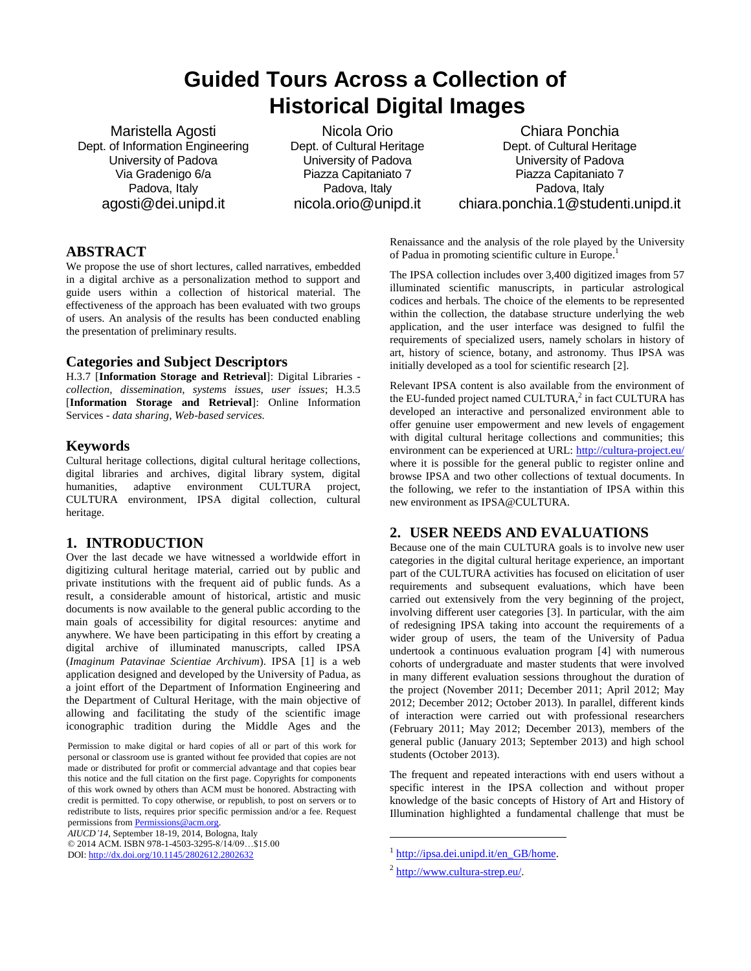# **Guided Tours Across a Collection of Historical Digital Images**

Maristella Agosti Dept. of Information Engineering University of Padova Via Gradenigo 6/a Padova, Italy agosti@dei.unipd.it

Nicola Orio Dept. of Cultural Heritage University of Padova Piazza Capitaniato 7 Padova, Italy nicola.orio@unipd.it

Chiara Ponchia Dept. of Cultural Heritage University of Padova Piazza Capitaniato 7 Padova, Italy chiara.ponchia.1@studenti.unipd.it

# **ABSTRACT**

We propose the use of short lectures, called narratives, embedded in a digital archive as a personalization method to support and guide users within a collection of historical material. The effectiveness of the approach has been evaluated with two groups of users. An analysis of the results has been conducted enabling the presentation of preliminary results.

#### **Categories and Subject Descriptors**

H.3.7 [**Information Storage and Retrieval**]: Digital Libraries *collection, dissemination, systems issues, user issues*; H.3.5 [**Information Storage and Retrieval**]: Online Information Services - *data sharing, Web-based services.*

#### **Keywords**

Cultural heritage collections, digital cultural heritage collections, digital libraries and archives, digital library system, digital<br>humanities, adaptive environment CULTURA project, humanities, adaptive environment CULTURA CULTURA environment, IPSA digital collection, cultural heritage.

# **1. INTRODUCTION**

Over the last decade we have witnessed a worldwide effort in digitizing cultural heritage material, carried out by public and private institutions with the frequent aid of public funds. As a result, a considerable amount of historical, artistic and music documents is now available to the general public according to the main goals of accessibility for digital resources: anytime and anywhere. We have been participating in this effort by creating a digital archive of illuminated manuscripts, called IPSA (*Imaginum Patavinae Scientiae Archivum*). IPSA [1] is a web application designed and developed by the University of Padua, as a joint effort of the Department of Information Engineering and the Department of Cultural Heritage, with the main objective of allowing and facilitating the study of the scientific image iconographic tradition during the Middle Ages and the

Permission to make digital or hard copies of all or part of this work for personal or classroom use is granted without fee provided that copies are not made or distributed for profit or commercial advantage and that copies bear this notice and the full citation on the first page. Copyrights for components of this work owned by others than ACM must be honored. Abstracting with credit is permitted. To copy otherwise, or republish, to post on servers or to redistribute to lists, requires prior specific permission and/or a fee. Request permissions fro[m Permissions@acm.org.](Permissions@acm.org)

*AIUCD'14*, September 18-19, 2014, Bologna, Italy

© 2014 ACM. ISBN 978-1-4503-3295-8/14/09…\$15.00 DOI[: http://dx.doi.org/10.1145/2802612.2802632](http://dx.doi.org/10.1145/2802612.2802632)

Renaissance and the analysis of the role played by the University of Padua in promoting scientific culture in Europe.<sup>1</sup>

The IPSA collection includes over 3,400 digitized images from 57 illuminated scientific manuscripts, in particular astrological codices and herbals. The choice of the elements to be represented within the collection, the database structure underlying the web application, and the user interface was designed to fulfil the requirements of specialized users, namely scholars in history of art, history of science, botany, and astronomy. Thus IPSA was initially developed as a tool for scientific research [2].

Relevant IPSA content is also available from the environment of the EU-funded project named CULTURA, $^2$  in fact CULTURA has developed an interactive and personalized environment able to offer genuine user empowerment and new levels of engagement with digital cultural heritage collections and communities; this environment can be experienced at URL:<http://cultura-project.eu/> where it is possible for the general public to register online and browse IPSA and two other collections of textual documents. In the following, we refer to the instantiation of IPSA within this new environment as IPSA@CULTURA.

# **2. USER NEEDS AND EVALUATIONS**

Because one of the main CULTURA goals is to involve new user categories in the digital cultural heritage experience, an important part of the CULTURA activities has focused on elicitation of user requirements and subsequent evaluations, which have been carried out extensively from the very beginning of the project, involving different user categories [3]. In particular, with the aim of redesigning IPSA taking into account the requirements of a wider group of users, the team of the University of Padua undertook a continuous evaluation program [4] with numerous cohorts of undergraduate and master students that were involved in many different evaluation sessions throughout the duration of the project (November 2011; December 2011; April 2012; May 2012; December 2012; October 2013). In parallel, different kinds of interaction were carried out with professional researchers (February 2011; May 2012; December 2013), members of the general public (January 2013; September 2013) and high school students (October 2013).

The frequent and repeated interactions with end users without a specific interest in the IPSA collection and without proper knowledge of the basic concepts of History of Art and History of Illumination highlighted a fundamental challenge that must be

 $\overline{a}$ 

<sup>&</sup>lt;sup>1</sup> [http://ipsa.dei.unipd.it/en\\_GB/home.](http://ipsa.dei.unipd.it/en_GB/home)

<sup>&</sup>lt;sup>2</sup> [http://www.cultura-strep.eu/.](http://www.cultura-strep.eu/)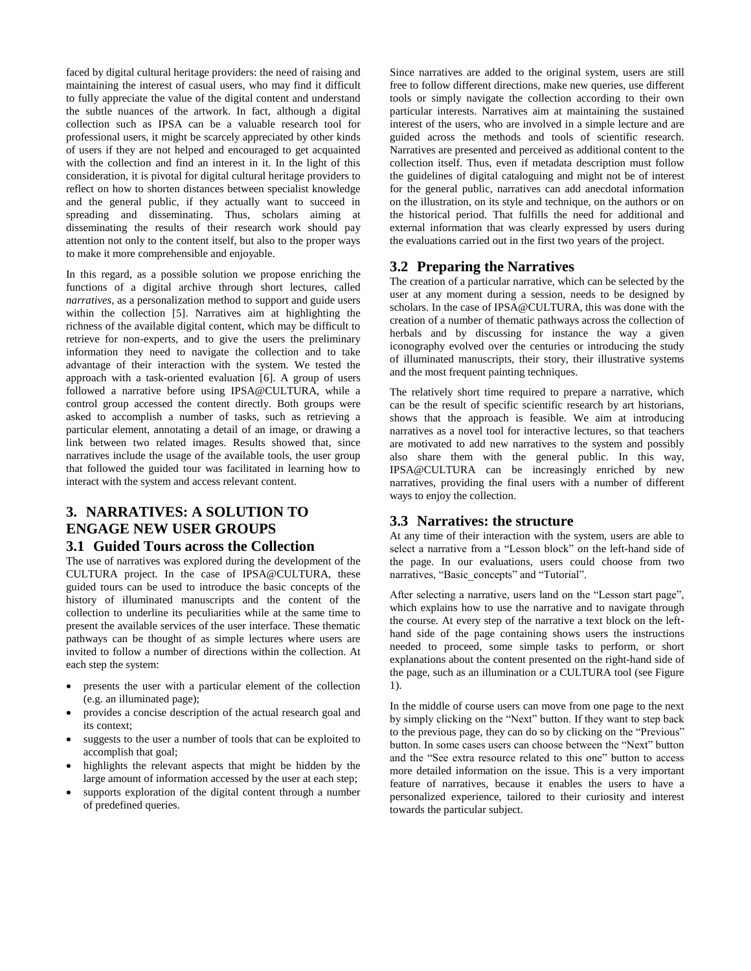faced by digital cultural heritage providers: the need of raising and maintaining the interest of casual users, who may find it difficult to fully appreciate the value of the digital content and understand the subtle nuances of the artwork. In fact, although a digital collection such as IPSA can be a valuable research tool for professional users, it might be scarcely appreciated by other kinds of users if they are not helped and encouraged to get acquainted with the collection and find an interest in it. In the light of this consideration, it is pivotal for digital cultural heritage providers to reflect on how to shorten distances between specialist knowledge and the general public, if they actually want to succeed in spreading and disseminating. Thus, scholars aiming at disseminating the results of their research work should pay attention not only to the content itself, but also to the proper ways to make it more comprehensible and enjoyable.

In this regard, as a possible solution we propose enriching the functions of a digital archive through short lectures, called *narratives*, as a personalization method to support and guide users within the collection [5]. Narratives aim at highlighting the richness of the available digital content, which may be difficult to retrieve for non-experts, and to give the users the preliminary information they need to navigate the collection and to take advantage of their interaction with the system. We tested the approach with a task-oriented evaluation [6]. A group of users followed a narrative before using IPSA@CULTURA, while a control group accessed the content directly. Both groups were asked to accomplish a number of tasks, such as retrieving a particular element, annotating a detail of an image, or drawing a link between two related images. Results showed that, since narratives include the usage of the available tools, the user group that followed the guided tour was facilitated in learning how to interact with the system and access relevant content.

# **3. NARRATIVES: A SOLUTION TO ENGAGE NEW USER GROUPS**

#### **3.1 Guided Tours across the Collection**

The use of narratives was explored during the development of the CULTURA project. In the case of IPSA@CULTURA, these guided tours can be used to introduce the basic concepts of the history of illuminated manuscripts and the content of the collection to underline its peculiarities while at the same time to present the available services of the user interface. These thematic pathways can be thought of as simple lectures where users are invited to follow a number of directions within the collection. At each step the system:

- presents the user with a particular element of the collection (e.g. an illuminated page);
- provides a concise description of the actual research goal and its context;
- suggests to the user a number of tools that can be exploited to accomplish that goal;
- highlights the relevant aspects that might be hidden by the large amount of information accessed by the user at each step;
- supports exploration of the digital content through a number of predefined queries.

Since narratives are added to the original system, users are still free to follow different directions, make new queries, use different tools or simply navigate the collection according to their own particular interests. Narratives aim at maintaining the sustained interest of the users, who are involved in a simple lecture and are guided across the methods and tools of scientific research. Narratives are presented and perceived as additional content to the collection itself. Thus, even if metadata description must follow the guidelines of digital cataloguing and might not be of interest for the general public, narratives can add anecdotal information on the illustration, on its style and technique, on the authors or on the historical period. That fulfills the need for additional and external information that was clearly expressed by users during the evaluations carried out in the first two years of the project.

# **3.2 Preparing the Narratives**

The creation of a particular narrative, which can be selected by the user at any moment during a session, needs to be designed by scholars. In the case of IPSA@CULTURA, this was done with the creation of a number of thematic pathways across the collection of herbals and by discussing for instance the way a given iconography evolved over the centuries or introducing the study of illuminated manuscripts, their story, their illustrative systems and the most frequent painting techniques.

The relatively short time required to prepare a narrative, which can be the result of specific scientific research by art historians, shows that the approach is feasible. We aim at introducing narratives as a novel tool for interactive lectures, so that teachers are motivated to add new narratives to the system and possibly also share them with the general public. In this way, IPSA@CULTURA can be increasingly enriched by new narratives, providing the final users with a number of different ways to enjoy the collection.

# **3.3 Narratives: the structure**

At any time of their interaction with the system, users are able to select a narrative from a "Lesson block" on the left-hand side of the page. In our evaluations, users could choose from two narratives, "Basic\_concepts" and "Tutorial".

After selecting a narrative, users land on the "Lesson start page", which explains how to use the narrative and to navigate through the course. At every step of the narrative a text block on the lefthand side of the page containing shows users the instructions needed to proceed, some simple tasks to perform, or short explanations about the content presented on the right-hand side of the page, such as an illumination or a CULTURA tool (see Figure 1).

In the middle of course users can move from one page to the next by simply clicking on the "Next" button. If they want to step back to the previous page, they can do so by clicking on the "Previous" button. In some cases users can choose between the "Next" button and the "See extra resource related to this one" button to access more detailed information on the issue. This is a very important feature of narratives, because it enables the users to have a personalized experience, tailored to their curiosity and interest towards the particular subject.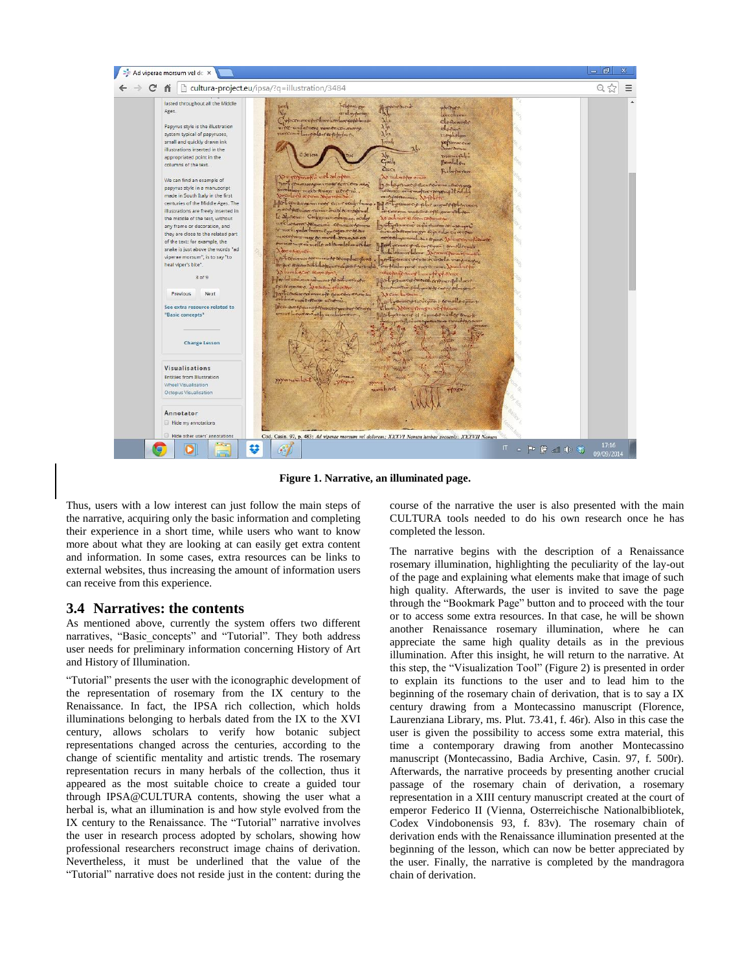

**Figure 1. Narrative, an illuminated page.**

Thus, users with a low interest can just follow the main steps of the narrative, acquiring only the basic information and completing their experience in a short time, while users who want to know more about what they are looking at can easily get extra content and information. In some cases, extra resources can be links to external websites, thus increasing the amount of information users can receive from this experience.

#### **3.4 Narratives: the contents**

As mentioned above, currently the system offers two different narratives, "Basic concepts" and "Tutorial". They both address user needs for preliminary information concerning History of Art and History of Illumination.

"Tutorial" presents the user with the iconographic development of the representation of rosemary from the IX century to the Renaissance. In fact, the IPSA rich collection, which holds illuminations belonging to herbals dated from the IX to the XVI century, allows scholars to verify how botanic subject representations changed across the centuries, according to the change of scientific mentality and artistic trends. The rosemary representation recurs in many herbals of the collection, thus it appeared as the most suitable choice to create a guided tour through IPSA@CULTURA contents, showing the user what a herbal is, what an illumination is and how style evolved from the IX century to the Renaissance. The "Tutorial" narrative involves the user in research process adopted by scholars, showing how professional researchers reconstruct image chains of derivation. Nevertheless, it must be underlined that the value of the "Tutorial" narrative does not reside just in the content: during the

course of the narrative the user is also presented with the main CULTURA tools needed to do his own research once he has completed the lesson.

The narrative begins with the description of a Renaissance rosemary illumination, highlighting the peculiarity of the lay-out of the page and explaining what elements make that image of such high quality. Afterwards, the user is invited to save the page through the "Bookmark Page" button and to proceed with the tour or to access some extra resources. In that case, he will be shown another Renaissance rosemary illumination, where he can appreciate the same high quality details as in the previous illumination. After this insight, he will return to the narrative. At this step, the "Visualization Tool" (Figure 2) is presented in order to explain its functions to the user and to lead him to the beginning of the rosemary chain of derivation, that is to say a IX century drawing from a Montecassino manuscript (Florence, Laurenziana Library, ms. Plut. 73.41, f. 46r). Also in this case the user is given the possibility to access some extra material, this time a contemporary drawing from another Montecassino manuscript (Montecassino, Badia Archive, Casin. 97, f. 500r). Afterwards, the narrative proceeds by presenting another crucial passage of the rosemary chain of derivation, a rosemary representation in a XIII century manuscript created at the court of emperor Federico II (Vienna, Osterreichische Nationalbibliotek, Codex Vindobonensis 93, f. 83v). The rosemary chain of derivation ends with the Renaissance illumination presented at the beginning of the lesson, which can now be better appreciated by the user. Finally, the narrative is completed by the mandragora chain of derivation.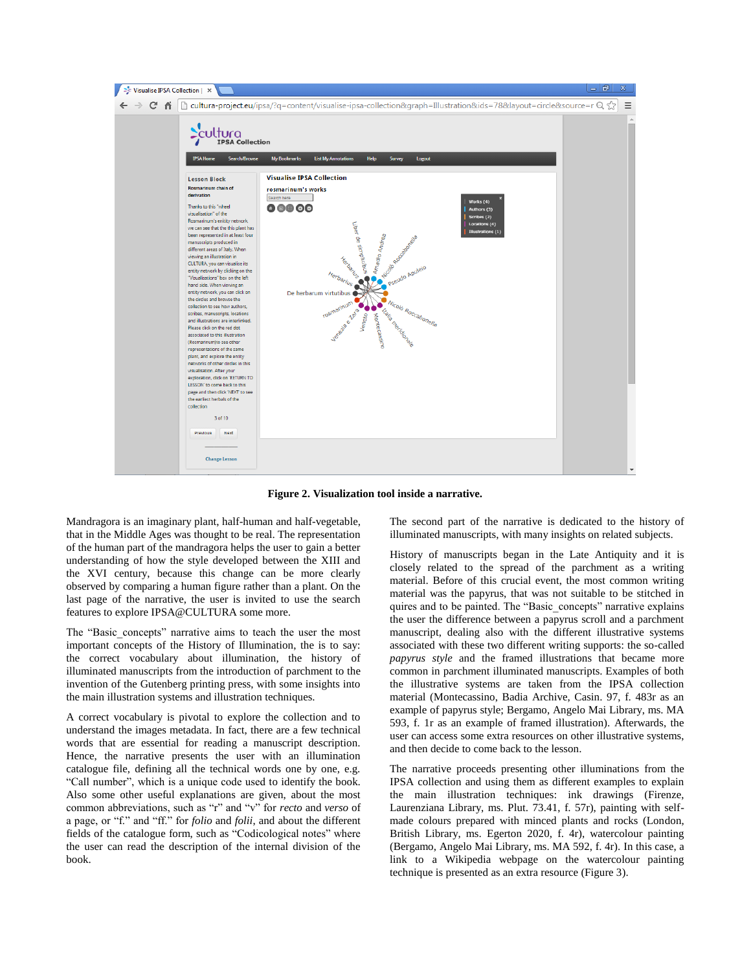

**Figure 2. Visualization tool inside a narrative.**

Mandragora is an imaginary plant, half-human and half-vegetable, that in the Middle Ages was thought to be real. The representation of the human part of the mandragora helps the user to gain a better understanding of how the style developed between the XIII and the XVI century, because this change can be more clearly observed by comparing a human figure rather than a plant. On the last page of the narrative, the user is invited to use the search features to explore IPSA@CULTURA some more.

The "Basic\_concepts" narrative aims to teach the user the most important concepts of the History of Illumination, the is to say: the correct vocabulary about illumination, the history of illuminated manuscripts from the introduction of parchment to the invention of the Gutenberg printing press, with some insights into the main illustration systems and illustration techniques.

A correct vocabulary is pivotal to explore the collection and to understand the images metadata. In fact, there are a few technical words that are essential for reading a manuscript description. Hence, the narrative presents the user with an illumination catalogue file, defining all the technical words one by one, e.g. "Call number", which is a unique code used to identify the book. Also some other useful explanations are given, about the most common abbreviations, such as "r" and "v" for *recto* and *verso* of a page, or "f." and "ff." for *folio* and *folii*, and about the different fields of the catalogue form, such as "Codicological notes" where the user can read the description of the internal division of the book.

The second part of the narrative is dedicated to the history of illuminated manuscripts, with many insights on related subjects.

History of manuscripts began in the Late Antiquity and it is closely related to the spread of the parchment as a writing material. Before of this crucial event, the most common writing material was the papyrus, that was not suitable to be stitched in quires and to be painted. The "Basic\_concepts" narrative explains the user the difference between a papyrus scroll and a parchment manuscript, dealing also with the different illustrative systems associated with these two different writing supports: the so-called *papyrus style* and the framed illustrations that became more common in parchment illuminated manuscripts. Examples of both the illustrative systems are taken from the IPSA collection material (Montecassino, Badia Archive, Casin. 97, f. 483r as an example of papyrus style; Bergamo, Angelo Mai Library, ms. MA 593, f. 1r as an example of framed illustration). Afterwards, the user can access some extra resources on other illustrative systems, and then decide to come back to the lesson.

The narrative proceeds presenting other illuminations from the IPSA collection and using them as different examples to explain the main illustration techniques: ink drawings (Firenze, Laurenziana Library, ms. Plut. 73.41, f. 57r), painting with selfmade colours prepared with minced plants and rocks (London, British Library, ms. Egerton 2020, f. 4r), watercolour painting (Bergamo, Angelo Mai Library, ms. MA 592, f. 4r). In this case, a link to a Wikipedia webpage on the watercolour painting technique is presented as an extra resource (Figure 3).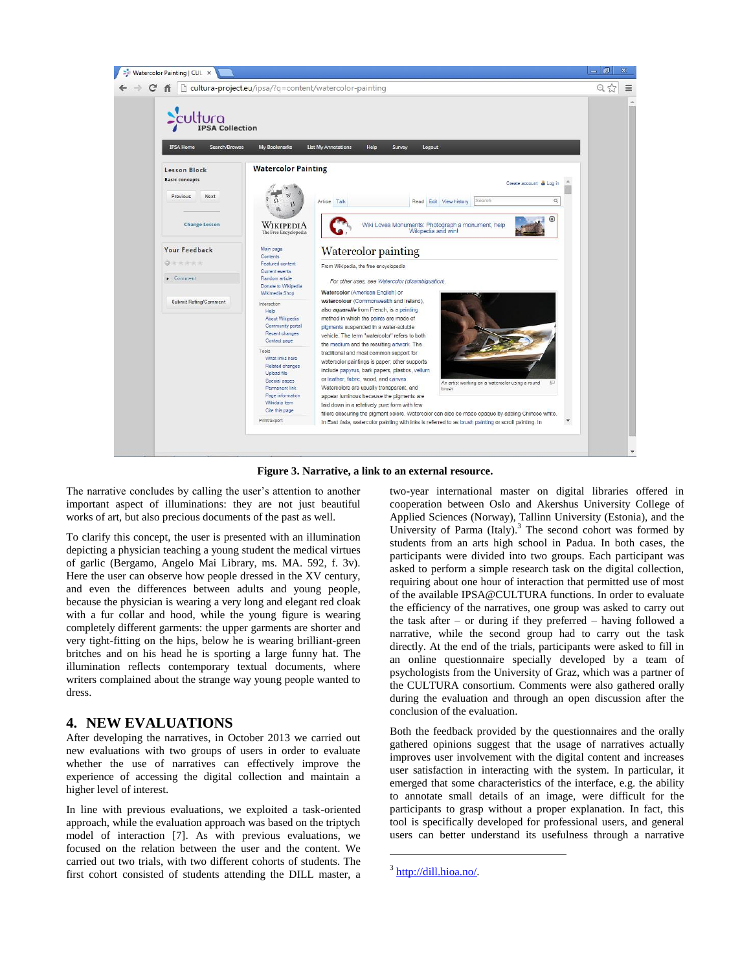

**Figure 3. Narrative, a link to an external resource.**

The narrative concludes by calling the user's attention to another important aspect of illuminations: they are not just beautiful works of art, but also precious documents of the past as well.

To clarify this concept, the user is presented with an illumination depicting a physician teaching a young student the medical virtues of garlic (Bergamo, Angelo Mai Library, ms. MA. 592, f. 3v). Here the user can observe how people dressed in the XV century, and even the differences between adults and young people, because the physician is wearing a very long and elegant red cloak with a fur collar and hood, while the young figure is wearing completely different garments: the upper garments are shorter and very tight-fitting on the hips, below he is wearing brilliant-green britches and on his head he is sporting a large funny hat. The illumination reflects contemporary textual documents, where writers complained about the strange way young people wanted to dress.

#### **4. NEW EVALUATIONS**

After developing the narratives, in October 2013 we carried out new evaluations with two groups of users in order to evaluate whether the use of narratives can effectively improve the experience of accessing the digital collection and maintain a higher level of interest.

In line with previous evaluations, we exploited a task-oriented approach, while the evaluation approach was based on the triptych model of interaction [7]. As with previous evaluations, we focused on the relation between the user and the content. We carried out two trials, with two different cohorts of students. The first cohort consisted of students attending the DILL master, a

two-year international master on digital libraries offered in cooperation between Oslo and Akershus University College of Applied Sciences (Norway), Tallinn University (Estonia), and the University of Parma  $(Italy)<sup>3</sup>$  The second cohort was formed by students from an arts high school in Padua. In both cases, the participants were divided into two groups. Each participant was asked to perform a simple research task on the digital collection, requiring about one hour of interaction that permitted use of most of the available IPSA@CULTURA functions. In order to evaluate the efficiency of the narratives, one group was asked to carry out the task after – or during if they preferred – having followed a narrative, while the second group had to carry out the task directly. At the end of the trials, participants were asked to fill in an online questionnaire specially developed by a team of psychologists from the University of Graz, which was a partner of the CULTURA consortium. Comments were also gathered orally during the evaluation and through an open discussion after the conclusion of the evaluation.

Both the feedback provided by the questionnaires and the orally gathered opinions suggest that the usage of narratives actually improves user involvement with the digital content and increases user satisfaction in interacting with the system. In particular, it emerged that some characteristics of the interface, e.g. the ability to annotate small details of an image, were difficult for the participants to grasp without a proper explanation. In fact, this tool is specifically developed for professional users, and general users can better understand its usefulness through a narrative

<sup>3</sup> [http://dill.hioa.no/.](http://dill.hioa.no/)

l